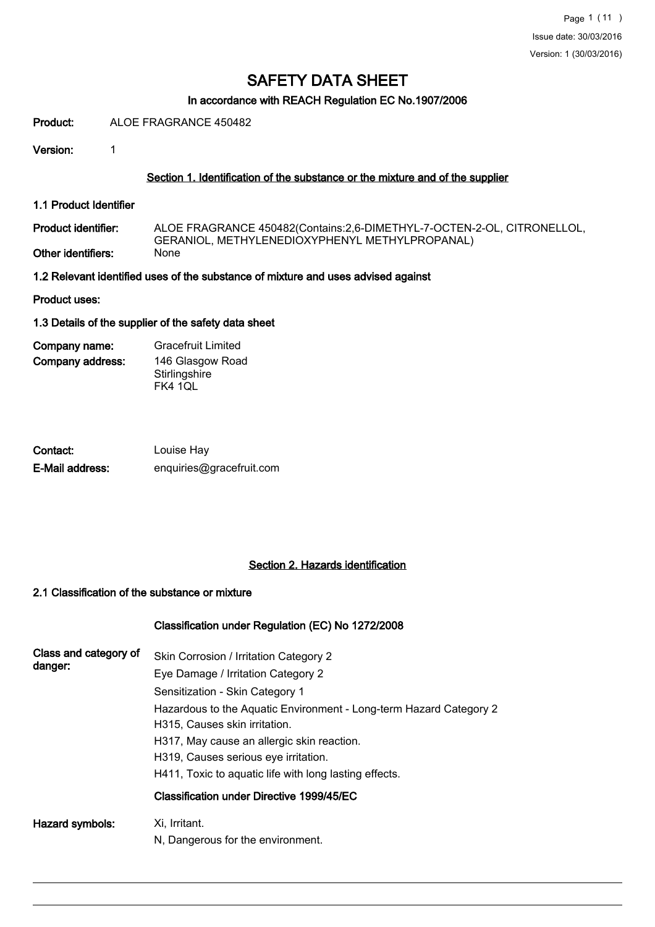# In accordance with REACH Regulation EC No.1907/2006

Product: ALOE FRAGRANCE 450482

Version: 1

## Section 1. Identification of the substance or the mixture and of the supplier

1.1 Product Identifier

ALOE FRAGRANCE 450482(Contains:2,6-DIMETHYL-7-OCTEN-2-OL, CITRONELLOL, GERANIOL, METHYLENEDIOXYPHENYL METHYLPROPANAL)<br>None Product identifier: Other identifiers:

1.2 Relevant identified uses of the substance of mixture and uses advised against

Product uses:

#### 1.3 Details of the supplier of the safety data sheet

Company address: Company name: Gracefruit Limited 146 Glasgow Road **Stirlingshire** FK4 1QL

| Contact:        | Louise Hay               |
|-----------------|--------------------------|
| E-Mail address: | enquiries@gracefruit.com |

# Section 2. Hazards identification

### 2.1 Classification of the substance or mixture

#### Classification under Regulation (EC) No 1272/2008

| Class and category of<br>danger: | Skin Corrosion / Irritation Category 2<br>Eye Damage / Irritation Category 2<br>Sensitization - Skin Category 1<br>Hazardous to the Aquatic Environment - Long-term Hazard Category 2<br>H315, Causes skin irritation.<br>H317, May cause an allergic skin reaction.<br>H319, Causes serious eye irritation. |
|----------------------------------|--------------------------------------------------------------------------------------------------------------------------------------------------------------------------------------------------------------------------------------------------------------------------------------------------------------|
|                                  | H411, Toxic to aguatic life with long lasting effects.<br>Classification under Directive 1999/45/EC                                                                                                                                                                                                          |
| Hazard symbols:                  | Xi, Irritant.<br>N, Dangerous for the environment.                                                                                                                                                                                                                                                           |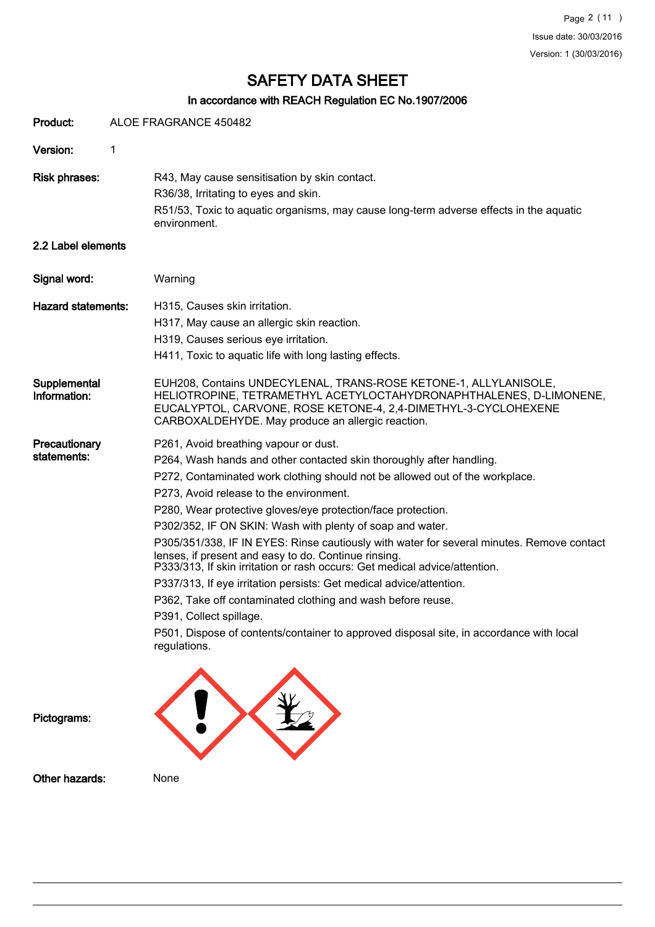# In accordance with REACH Regulation EC No.1907/2006

| Product:                     | ALOE FRAGRANCE 450482                                                                                                                                                                                                                                                                                                                                                                                                                                                                                                                                                                                                                                                                                                                                                                                                                                                                |
|------------------------------|--------------------------------------------------------------------------------------------------------------------------------------------------------------------------------------------------------------------------------------------------------------------------------------------------------------------------------------------------------------------------------------------------------------------------------------------------------------------------------------------------------------------------------------------------------------------------------------------------------------------------------------------------------------------------------------------------------------------------------------------------------------------------------------------------------------------------------------------------------------------------------------|
| Version:                     | 1                                                                                                                                                                                                                                                                                                                                                                                                                                                                                                                                                                                                                                                                                                                                                                                                                                                                                    |
| <b>Risk phrases:</b>         | R43, May cause sensitisation by skin contact.<br>R36/38, Irritating to eyes and skin.<br>R51/53, Toxic to aquatic organisms, may cause long-term adverse effects in the aquatic<br>environment.                                                                                                                                                                                                                                                                                                                                                                                                                                                                                                                                                                                                                                                                                      |
| 2.2 Label elements           |                                                                                                                                                                                                                                                                                                                                                                                                                                                                                                                                                                                                                                                                                                                                                                                                                                                                                      |
| Signal word:                 | Warning                                                                                                                                                                                                                                                                                                                                                                                                                                                                                                                                                                                                                                                                                                                                                                                                                                                                              |
| <b>Hazard statements:</b>    | H315, Causes skin irritation.<br>H317, May cause an allergic skin reaction.<br>H319, Causes serious eye irritation.<br>H411, Toxic to aquatic life with long lasting effects.                                                                                                                                                                                                                                                                                                                                                                                                                                                                                                                                                                                                                                                                                                        |
| Supplemental<br>Information: | EUH208, Contains UNDECYLENAL, TRANS-ROSE KETONE-1, ALLYLANISOLE,<br>HELIOTROPINE, TETRAMETHYL ACETYLOCTAHYDRONAPHTHALENES, D-LIMONENE,<br>EUCALYPTOL, CARVONE, ROSE KETONE-4, 2,4-DIMETHYL-3-CYCLOHEXENE<br>CARBOXALDEHYDE. May produce an allergic reaction.                                                                                                                                                                                                                                                                                                                                                                                                                                                                                                                                                                                                                        |
| Precautionary<br>statements: | P261, Avoid breathing vapour or dust.<br>P264, Wash hands and other contacted skin thoroughly after handling.<br>P272, Contaminated work clothing should not be allowed out of the workplace.<br>P273, Avoid release to the environment.<br>P280, Wear protective gloves/eye protection/face protection.<br>P302/352, IF ON SKIN: Wash with plenty of soap and water.<br>P305/351/338, IF IN EYES: Rinse cautiously with water for several minutes. Remove contact<br>lenses, if present and easy to do. Continue rinsing.<br>P333/313, If skin irritation or rash occurs: Get medical advice/attention.<br>P337/313, If eye irritation persists: Get medical advice/attention.<br>P362, Take off contaminated clothing and wash before reuse.<br>P391, Collect spillage.<br>P501, Dispose of contents/container to approved disposal site, in accordance with local<br>regulations. |
| Pictograms:                  |                                                                                                                                                                                                                                                                                                                                                                                                                                                                                                                                                                                                                                                                                                                                                                                                                                                                                      |

Other hazards: None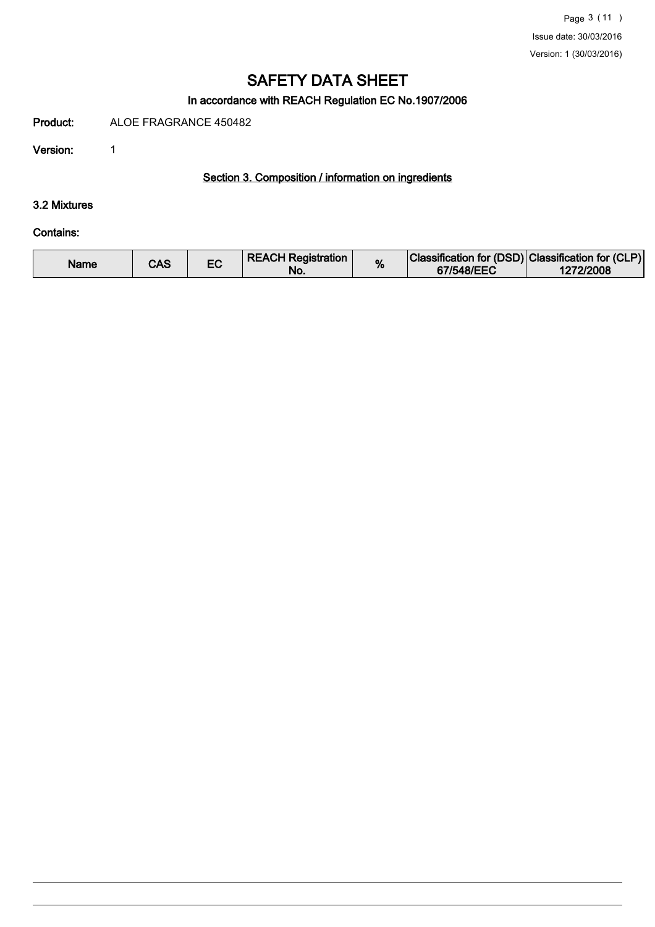# In accordance with REACH Regulation EC No.1907/2006

Product: ALOE FRAGRANCE 450482

Version: 1

# Section 3. Composition / information on ingredients

## 3.2 Mixtures

#### Contains:

| <b>REACH Registration</b><br>Name<br>CAS<br>No. | % | Classification for (DSD) Classification for (CLP)<br>67/548/EEC | 1272/2008 |
|-------------------------------------------------|---|-----------------------------------------------------------------|-----------|
|-------------------------------------------------|---|-----------------------------------------------------------------|-----------|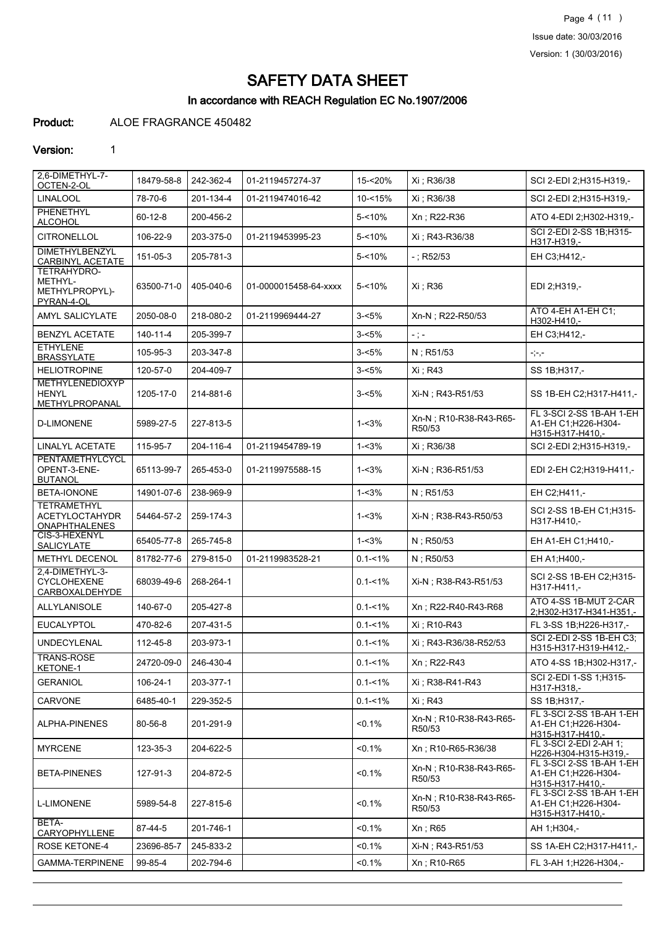Page 4 (11 ) Issue date: 30/03/2016 Version: 1 (30/03/2016)

# SAFETY DATA SHEET

# In accordance with REACH Regulation EC No.1907/2006

# Product: ALOE FRAGRANCE 450482

### Version: 1

| 2,6-DIMETHYL-7-<br>OCTEN-2-OL                                       | 18479-58-8     | 242-362-4 | 01-2119457274-37      | 15-<20%     | Xi ; R36/38                      | SCI 2-EDI 2;H315-H319,-                                             |
|---------------------------------------------------------------------|----------------|-----------|-----------------------|-------------|----------------------------------|---------------------------------------------------------------------|
| <b>LINALOOL</b>                                                     | 78-70-6        | 201-134-4 | 01-2119474016-42      | $10 - 15%$  | Xi ; R36/38                      | SCI 2-EDI 2:H315-H319,-                                             |
| PHENETHYL<br><b>ALCOHOL</b>                                         | $60 - 12 - 8$  | 200-456-2 |                       | $5 - 10%$   | Xn; R22-R36                      | ATO 4-EDI 2; H302-H319,-                                            |
| <b>CITRONELLOL</b>                                                  | 106-22-9       | 203-375-0 | 01-2119453995-23      | $5 - 10%$   | Xi : R43-R36/38                  | SCI 2-EDI 2-SS 1B;H315-<br>H317-H319,-                              |
| <b>DIMETHYLBENZYL</b><br><b>CARBINYL ACETATE</b>                    | 151-05-3       | 205-781-3 |                       | $5 - 10%$   | $-$ ; R52/53                     | EH C3;H412,-                                                        |
| TETRAHYDRO-<br>METHYL-<br>METHYLPROPYL)-<br>PYRAN-4-OL              | 63500-71-0     | 405-040-6 | 01-0000015458-64-xxxx | 5-<10%      | Xi: R36                          | EDI 2;H319,-                                                        |
| AMYL SALICYLATE                                                     | 2050-08-0      | 218-080-2 | 01-2119969444-27      | $3 - 5%$    | Xn-N; R22-R50/53                 | ATO 4-EH A1-EH C1;<br>H302-H410,-                                   |
| <b>BENZYL ACETATE</b>                                               | $140 - 11 - 4$ | 205-399-7 |                       | $3 - 5%$    | $-$ ; $-$                        | EH C3:H412,-                                                        |
| <b>ETHYLENE</b><br><b>BRASSYLATE</b>                                | 105-95-3       | 203-347-8 |                       | $3 - 5%$    | N; R51/53                        | $\texttt{-}\texttt{;=},\texttt{-}$                                  |
| <b>HELIOTROPINE</b>                                                 | 120-57-0       | 204-409-7 |                       | $3 - 5%$    | Xi ; R43                         | SS 1B; H317,-                                                       |
| <b>METHYLENEDIOXYP</b><br><b>HENYL</b><br>METHYLPROPANAL            | 1205-17-0      | 214-881-6 |                       | $3 - 5%$    | Xi-N; R43-R51/53                 | SS 1B-EH C2; H317-H411,-                                            |
| <b>D-LIMONENE</b>                                                   | 5989-27-5      | 227-813-5 |                       | $1 - 3%$    | Xn-N; R10-R38-R43-R65-<br>R50/53 | FL 3-SCI 2-SS 1B-AH 1-EH<br>A1-EH C1:H226-H304-<br>H315-H317-H410,- |
| <b>LINALYL ACETATE</b>                                              | 115-95-7       | 204-116-4 | 01-2119454789-19      | $1 - 3%$    | Xi ; R36/38                      | SCI 2-EDI 2;H315-H319,-                                             |
| PENTAMETHYLCYCL<br>OPENT-3-ENE-<br><b>BUTANOL</b>                   | 65113-99-7     | 265-453-0 | 01-2119975588-15      | $1 - 3%$    | Xi-N; R36-R51/53                 | EDI 2-EH C2;H319-H411,-                                             |
| BETA-IONONE                                                         | 14901-07-6     | 238-969-9 |                       | $1 - 3%$    | N; R51/53                        | EH C2;H411,-                                                        |
| <b>TETRAMETHYL</b><br><b>ACETYLOCTAHYDR</b><br><b>ONAPHTHALENES</b> | 54464-57-2     | 259-174-3 |                       | $1 - 3%$    | Xi-N; R38-R43-R50/53             | SCI 2-SS 1B-EH C1;H315-<br>H317-H410,-                              |
| CIS-3-HEXENYL<br>SALICYLATE                                         | 65405-77-8     | 265-745-8 |                       | $1 - 3%$    | $N$ ; R50/53                     | EH A1-EH C1; H410,-                                                 |
| METHYL DECENOL                                                      | 81782-77-6     | 279-815-0 | 01-2119983528-21      | $0.1 - 1\%$ | N; R50/53                        | EH A1;H400,-                                                        |
| 2.4-DIMETHYL-3-<br>CYCLOHEXENE<br>CARBOXALDEHYDE                    | 68039-49-6     | 268-264-1 |                       | $0.1 - 1\%$ | Xi-N; R38-R43-R51/53             | SCI 2-SS 1B-EH C2;H315-<br>H317-H411,-                              |
| ALLYLANISOLE                                                        | 140-67-0       | 205-427-8 |                       | $0.1 - 1\%$ | Xn: R22-R40-R43-R68              | ATO 4-SS 1B-MUT 2-CAR<br>2;H302-H317-H341-H351,-                    |
| <b>EUCALYPTOL</b>                                                   | 470-82-6       | 207-431-5 |                       | $0.1 - 1\%$ | Xi : R10-R43                     | FL 3-SS 1B; H226-H317,-                                             |
| <b>UNDECYLENAL</b>                                                  | 112-45-8       | 203-973-1 |                       | $0.1 - 1\%$ | Xi: R43-R36/38-R52/53            | SCI 2-EDI 2-SS 1B-EH C3;<br>H315-H317-H319-H412,-                   |
| TRANS-ROSE<br>KETONE-1                                              | 24720-09-0     | 246-430-4 |                       | $0.1 - 1\%$ | Xn; R22-R43                      | ATO 4-SS 1B; H302-H317,-                                            |
| <b>GERANIOL</b>                                                     | 106-24-1       | 203-377-1 |                       | $0.1 - 1\%$ | Xi: R38-R41-R43                  | SCI 2-EDI 1-SS 1:H315-<br>H317-H318,-                               |
| CARVONE                                                             | 6485-40-1      | 229-352-5 |                       | $0.1 - 1\%$ | Xi : R43                         | SS 1B; H317,-                                                       |
| ALPHA-PINENES                                                       | 80-56-8        | 201-291-9 |                       | $< 0.1\%$   | Xn-N; R10-R38-R43-R65-<br>R50/53 | FL 3-SCI 2-SS 1B-AH 1-EH<br>A1-EH C1;H226-H304-<br>H315-H317-H410,- |
| <b>MYRCENE</b>                                                      | 123-35-3       | 204-622-5 |                       | < 0.1%      | Xn: R10-R65-R36/38               | FL 3-SCI 2-EDI 2-AH 1;<br>H226-H304-H315-H319,-                     |
| <b>BETA-PINENES</b>                                                 | 127-91-3       | 204-872-5 |                       | < 0.1%      | Xn-N; R10-R38-R43-R65-<br>R50/53 | FL 3-SCI 2-SS 1B-AH 1-EH<br>A1-EH C1;H226-H304-<br>H315-H317-H410,- |
| <b>L-LIMONENE</b>                                                   | 5989-54-8      | 227-815-6 |                       | $< 0.1\%$   | Xn-N; R10-R38-R43-R65-<br>R50/53 | FL 3-SCI 2-SS 1B-AH 1-EH<br>A1-EH C1;H226-H304-<br>H315-H317-H410,- |
| BETA-<br>CARYOPHYLLENE                                              | 87-44-5        | 201-746-1 |                       | < 0.1%      | Xn; R65                          | AH 1;H304,-                                                         |
| <b>ROSE KETONE-4</b>                                                | 23696-85-7     | 245-833-2 |                       | $< 0.1\%$   | Xi-N; R43-R51/53                 | SS 1A-EH C2; H317-H411,-                                            |
| <b>GAMMA-TERPINENE</b>                                              | 99-85-4        | 202-794-6 |                       | $< 0.1\%$   | Xn; R10-R65                      | FL 3-AH 1;H226-H304,-                                               |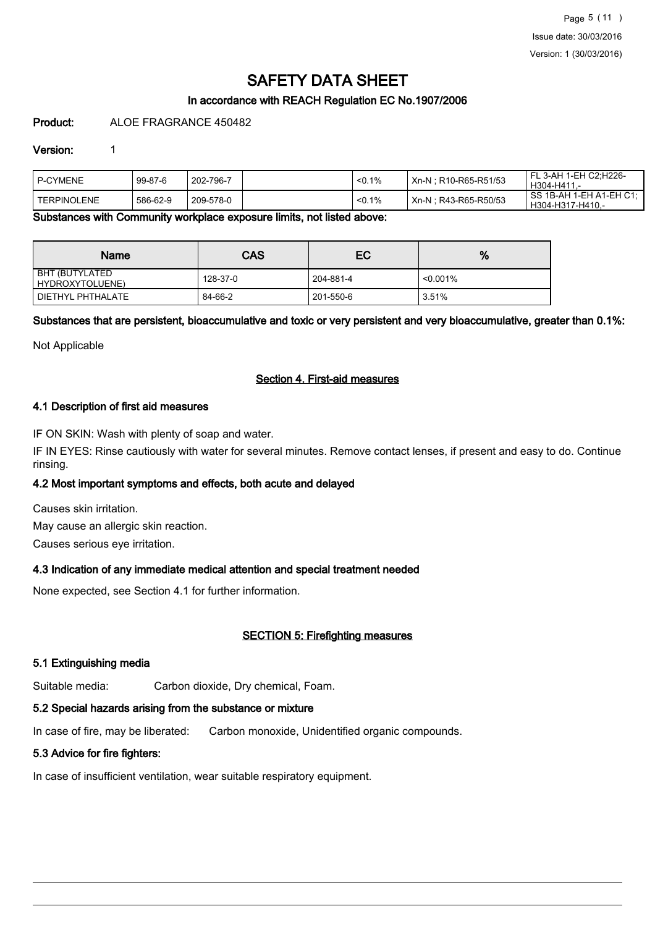# In accordance with REACH Regulation EC No.1907/2006

Product: ALOE FRAGRANCE 450482

#### Version: 1

| I P-CYMENE    | 99-87-6  | 202-796-7 | < 0.1% | Xn-N: R10-R65-R51/53  | FL 3-AH 1-EH C2:H226-<br>H304-H411-         |
|---------------|----------|-----------|--------|-----------------------|---------------------------------------------|
| I TERPINOLENE | 586-62-9 | 209-578-0 | < 0.1% | Xn-N : R43-R65-R50/53 | SS 1B-AH 1-EH A1-EH C1:<br>H304-H317-H410.- |

Substances with Community workplace exposure limits, not listed above:

| <b>Name</b>                       | CAS      | EC        | %           |
|-----------------------------------|----------|-----------|-------------|
| BHT (BUTYLATED<br>HYDROXYTOLUENE) | 128-37-0 | 204-881-4 | $< 0.001\%$ |
| DIETHYL PHTHALATE                 | 84-66-2  | 201-550-6 | 3.51%       |

Substances that are persistent, bioaccumulative and toxic or very persistent and very bioaccumulative, greater than 0.1%:

Not Applicable

### Section 4. First-aid measures

### 4.1 Description of first aid measures

IF ON SKIN: Wash with plenty of soap and water.

IF IN EYES: Rinse cautiously with water for several minutes. Remove contact lenses, if present and easy to do. Continue rinsing.

#### 4.2 Most important symptoms and effects, both acute and delayed

Causes skin irritation. May cause an allergic skin reaction.

Causes serious eye irritation.

# 4.3 Indication of any immediate medical attention and special treatment needed

None expected, see Section 4.1 for further information.

# SECTION 5: Firefighting measures

#### 5.1 Extinguishing media

Suitable media: Carbon dioxide, Dry chemical, Foam.

# 5.2 Special hazards arising from the substance or mixture

In case of fire, may be liberated: Carbon monoxide, Unidentified organic compounds.

# 5.3 Advice for fire fighters:

In case of insufficient ventilation, wear suitable respiratory equipment.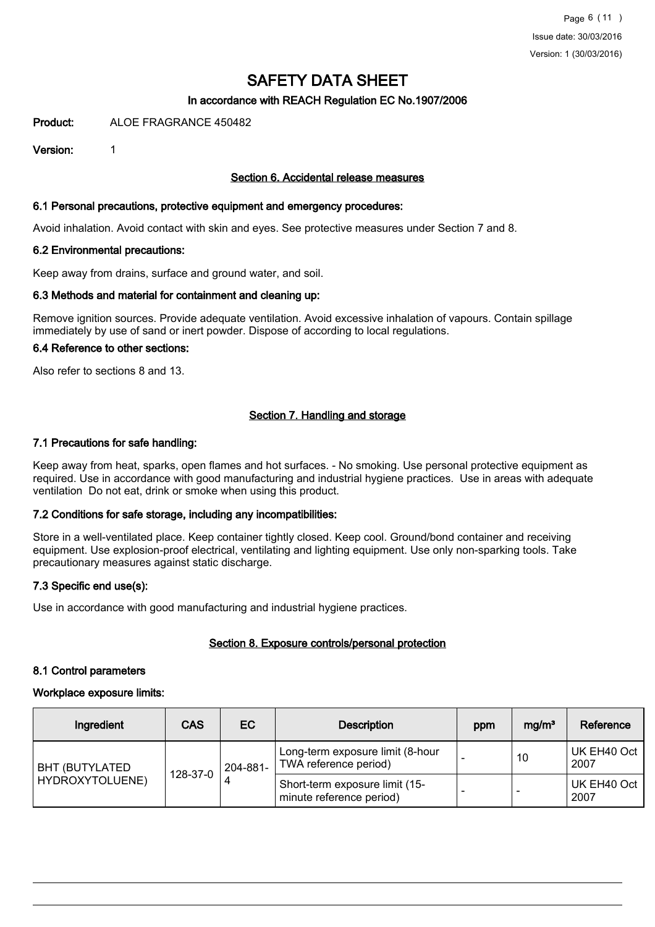# In accordance with REACH Regulation EC No.1907/2006

Product: ALOE FRAGRANCE 450482

Version: 1

#### Section 6. Accidental release measures

#### 6.1 Personal precautions, protective equipment and emergency procedures:

Avoid inhalation. Avoid contact with skin and eyes. See protective measures under Section 7 and 8.

### 6.2 Environmental precautions:

Keep away from drains, surface and ground water, and soil.

### 6.3 Methods and material for containment and cleaning up:

Remove ignition sources. Provide adequate ventilation. Avoid excessive inhalation of vapours. Contain spillage immediately by use of sand or inert powder. Dispose of according to local regulations.

# 6.4 Reference to other sections:

Also refer to sections 8 and 13.

# Section 7. Handling and storage

#### 7.1 Precautions for safe handling:

Keep away from heat, sparks, open flames and hot surfaces. - No smoking. Use personal protective equipment as required. Use in accordance with good manufacturing and industrial hygiene practices. Use in areas with adequate ventilation Do not eat, drink or smoke when using this product.

# 7.2 Conditions for safe storage, including any incompatibilities:

Store in a well-ventilated place. Keep container tightly closed. Keep cool. Ground/bond container and receiving equipment. Use explosion-proof electrical, ventilating and lighting equipment. Use only non-sparking tools. Take precautionary measures against static discharge.

# 7.3 Specific end use(s):

Use in accordance with good manufacturing and industrial hygiene practices.

# Section 8. Exposure controls/personal protection

#### 8.1 Control parameters

#### Workplace exposure limits:

| Ingredient                         | <b>CAS</b> | EC                                                        | <b>Description</b>                                         | ppm | mg/m <sup>3</sup>        | Reference           |
|------------------------------------|------------|-----------------------------------------------------------|------------------------------------------------------------|-----|--------------------------|---------------------|
| <b>BHT (BUTYLATED)</b><br>128-37-0 | 204-881-   | Long-term exposure limit (8-hour<br>TWA reference period) |                                                            | 10  | UK EH40 Oct<br>2007      |                     |
| HYDROXYTOLUENE)                    |            |                                                           | Short-term exposure limit (15-<br>minute reference period) |     | $\overline{\phantom{0}}$ | UK EH40 Oct<br>2007 |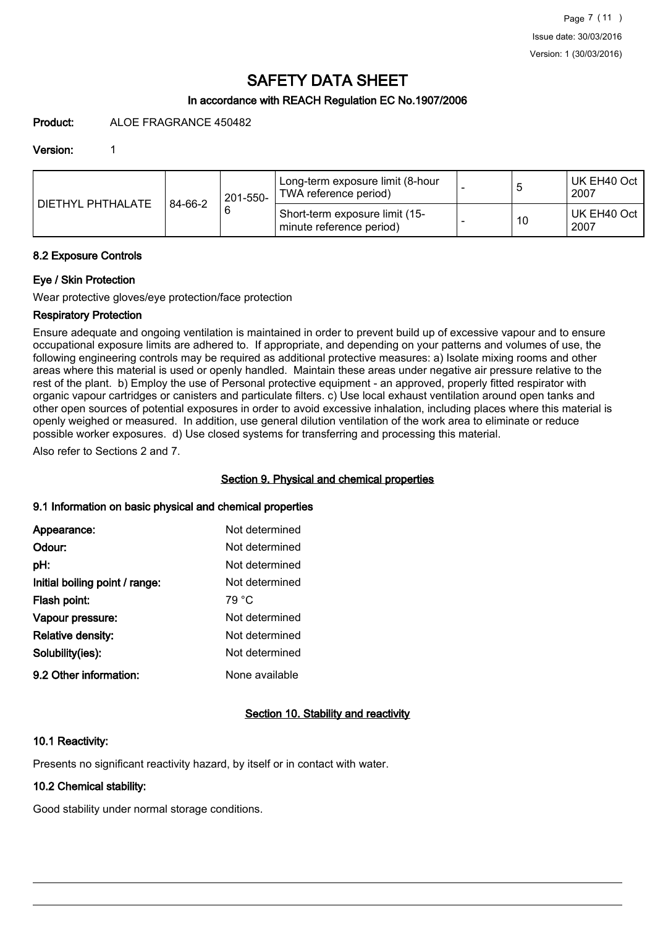# In accordance with REACH Regulation EC No.1907/2006

Product: ALOE FRAGRANCE 450482

#### Version: 1

|                   |         | 201-550- | Long-term exposure limit (8-hour<br>TWA reference period)  | O  | UK EH40 Oct<br>2007 |
|-------------------|---------|----------|------------------------------------------------------------|----|---------------------|
| DIETHYL PHTHALATE | 84-66-2 |          | Short-term exposure limit (15-<br>minute reference period) | 10 | UK EH40 Oct<br>2007 |

### 8.2 Exposure Controls

### Eye / Skin Protection

Wear protective gloves/eye protection/face protection

# Respiratory Protection

Ensure adequate and ongoing ventilation is maintained in order to prevent build up of excessive vapour and to ensure occupational exposure limits are adhered to. If appropriate, and depending on your patterns and volumes of use, the following engineering controls may be required as additional protective measures: a) Isolate mixing rooms and other areas where this material is used or openly handled. Maintain these areas under negative air pressure relative to the rest of the plant. b) Employ the use of Personal protective equipment - an approved, properly fitted respirator with organic vapour cartridges or canisters and particulate filters. c) Use local exhaust ventilation around open tanks and other open sources of potential exposures in order to avoid excessive inhalation, including places where this material is openly weighed or measured. In addition, use general dilution ventilation of the work area to eliminate or reduce possible worker exposures. d) Use closed systems for transferring and processing this material.

Also refer to Sections 2 and 7.

# Section 9. Physical and chemical properties

# 9.1 Information on basic physical and chemical properties

| Appearance:                    | Not determined |
|--------------------------------|----------------|
| Odour:                         | Not determined |
| pH:                            | Not determined |
| Initial boiling point / range: | Not determined |
| Flash point:                   | 79 °C          |
| Vapour pressure:               | Not determined |
| Relative density:              | Not determined |
| Solubility(ies):               | Not determined |
| 9.2 Other information:         | None available |

# Section 10. Stability and reactivity

# 10.1 Reactivity:

Presents no significant reactivity hazard, by itself or in contact with water.

# 10.2 Chemical stability:

Good stability under normal storage conditions.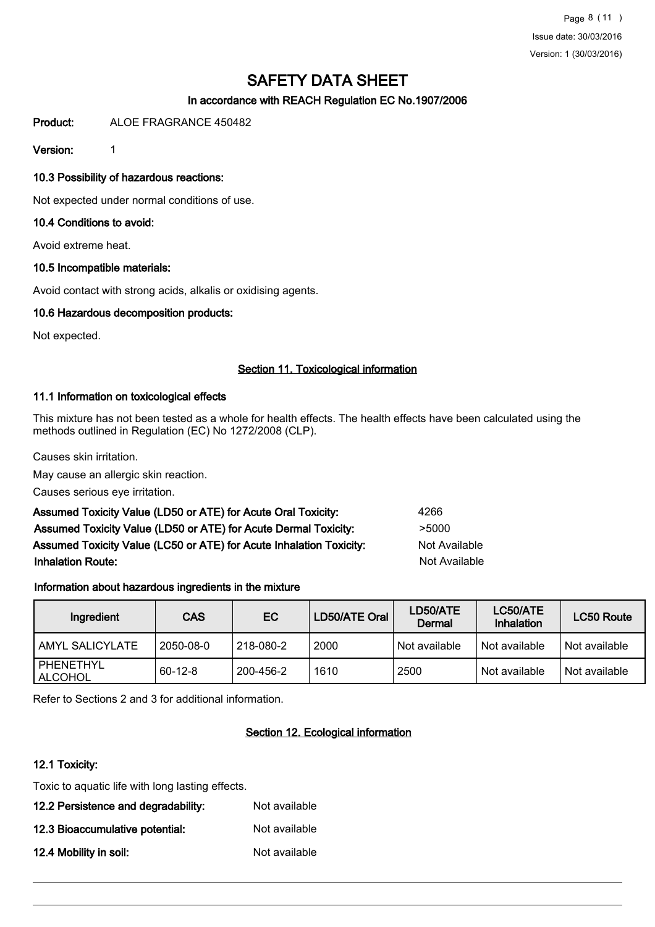# In accordance with REACH Regulation EC No.1907/2006

Product: ALOE FRAGRANCE 450482

Version: 1

## 10.3 Possibility of hazardous reactions:

Not expected under normal conditions of use.

## 10.4 Conditions to avoid:

Avoid extreme heat.

### 10.5 Incompatible materials:

Avoid contact with strong acids, alkalis or oxidising agents.

### 10.6 Hazardous decomposition products:

Not expected.

### Section 11. Toxicological information

### 11.1 Information on toxicological effects

This mixture has not been tested as a whole for health effects. The health effects have been calculated using the methods outlined in Regulation (EC) No 1272/2008 (CLP).

Causes skin irritation.

May cause an allergic skin reaction.

Causes serious eye irritation.

| Assumed Toxicity Value (LD50 or ATE) for Acute Oral Toxicity:       | 4266          |
|---------------------------------------------------------------------|---------------|
| Assumed Toxicity Value (LD50 or ATE) for Acute Dermal Toxicity:     | >5000         |
| Assumed Toxicity Value (LC50 or ATE) for Acute Inhalation Toxicity: | Not Available |
| <b>Inhalation Route:</b>                                            | Not Available |

# Information about hazardous ingredients in the mixture

| Ingredient                  | CAS       | EC        | LD50/ATE Oral | LD50/ATE<br>Dermal | LC50/ATE<br>Inhalation | LC50 Route    |
|-----------------------------|-----------|-----------|---------------|--------------------|------------------------|---------------|
| AMYL SALICYLATE             | 2050-08-0 | 218-080-2 | 2000          | Not available      | Not available          | Not available |
| PHENETHYL<br><b>ALCOHOL</b> | $60-12-8$ | 200-456-2 | 1610          | 2500               | Not available          | Not available |

Refer to Sections 2 and 3 for additional information.

# Section 12. Ecological information

# 12.1 Toxicity:

Toxic to aquatic life with long lasting effects.

| 12.2 Persistence and degradability: | Not available |
|-------------------------------------|---------------|
| 12.3 Bioaccumulative potential:     | Not available |
| 12.4 Mobility in soil:              | Not available |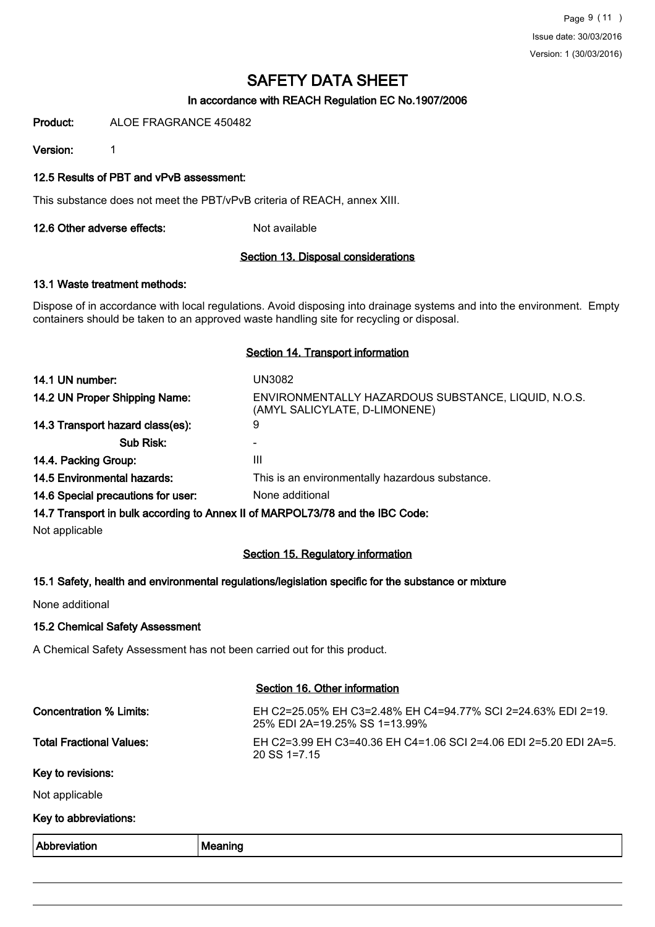# In accordance with REACH Regulation EC No.1907/2006

Product: ALOE FRAGRANCE 450482

Version: 1

#### 12.5 Results of PBT and vPvB assessment:

This substance does not meet the PBT/vPvB criteria of REACH, annex XIII.

12.6 Other adverse effects: Not available

#### Section 13. Disposal considerations

#### 13.1 Waste treatment methods:

Dispose of in accordance with local regulations. Avoid disposing into drainage systems and into the environment. Empty containers should be taken to an approved waste handling site for recycling or disposal.

#### Section 14. Transport information

| 14.1 UN number:                    | UN3082                                                                               |
|------------------------------------|--------------------------------------------------------------------------------------|
| 14.2 UN Proper Shipping Name:      | ENVIRONMENTALLY HAZARDOUS SUBSTANCE, LIQUID, N.O.S.<br>(AMYL SALICYLATE, D-LIMONENE) |
| 14.3 Transport hazard class(es):   | 9                                                                                    |
| Sub Risk:                          |                                                                                      |
| 14.4. Packing Group:               | Ш                                                                                    |
| <b>14.5 Environmental hazards:</b> | This is an environmentally hazardous substance.                                      |
| 14.6 Special precautions for user: | None additional                                                                      |
|                                    | 14.7 Transport in bulk according to Annex II of MARPOL73/78 and the IBC Code:        |

Not applicable

# Section 15. Regulatory information

#### 15.1 Safety, health and environmental regulations/legislation specific for the substance or mixture

None additional

#### 15.2 Chemical Safety Assessment

A Chemical Safety Assessment has not been carried out for this product.

|                                 | Section 16. Other information                                                                 |
|---------------------------------|-----------------------------------------------------------------------------------------------|
| Concentration % Limits:         | EH C2=25.05% EH C3=2.48% EH C4=94.77% SCI 2=24.63% EDI 2=19.<br>25% EDI 2A=19.25% SS 1=13.99% |
| <b>Total Fractional Values:</b> | EH C2=3.99 EH C3=40.36 EH C4=1.06 SCI 2=4.06 EDI 2=5.20 EDI 2A=5.<br>$20$ SS 1=7.15           |
| Key to revisions:               |                                                                                               |
| Not applicable                  |                                                                                               |
| Key to abbreviations:           |                                                                                               |
| Abbreviation                    | Meaning                                                                                       |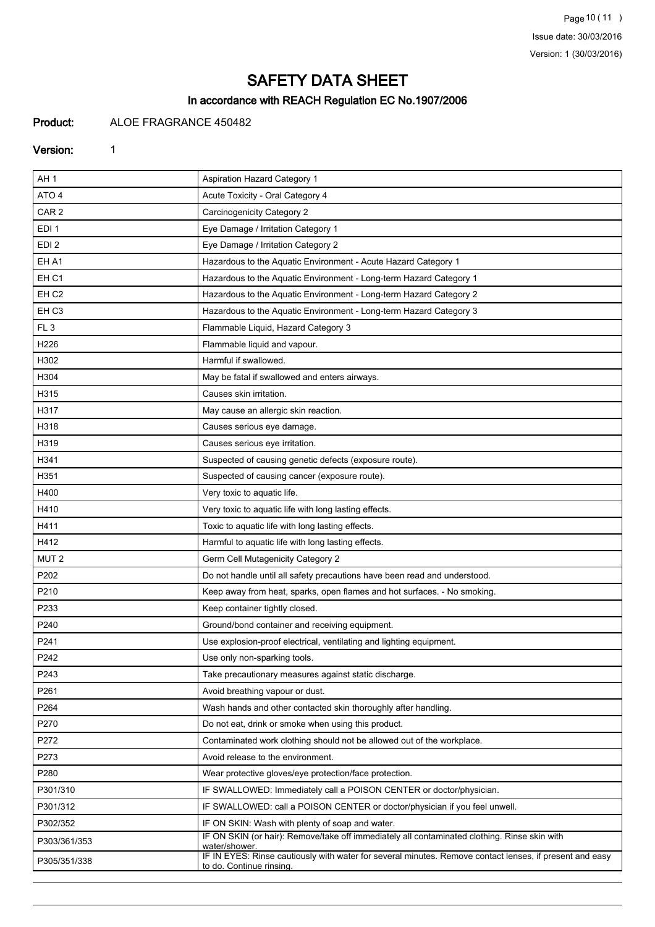Page 10 (11 ) Issue date: 30/03/2016 Version: 1 (30/03/2016)

# SAFETY DATA SHEET

# In accordance with REACH Regulation EC No.1907/2006

# Product: ALOE FRAGRANCE 450482

#### Version: 1

| AH <sub>1</sub>  | <b>Aspiration Hazard Category 1</b>                                                                                                 |
|------------------|-------------------------------------------------------------------------------------------------------------------------------------|
| ATO 4            | Acute Toxicity - Oral Category 4                                                                                                    |
| CAR <sub>2</sub> | Carcinogenicity Category 2                                                                                                          |
| EDI <sub>1</sub> | Eye Damage / Irritation Category 1                                                                                                  |
| EDI <sub>2</sub> | Eye Damage / Irritation Category 2                                                                                                  |
| EH A1            | Hazardous to the Aquatic Environment - Acute Hazard Category 1                                                                      |
| EH <sub>C1</sub> | Hazardous to the Aquatic Environment - Long-term Hazard Category 1                                                                  |
| EH <sub>C2</sub> | Hazardous to the Aquatic Environment - Long-term Hazard Category 2                                                                  |
| EH <sub>C3</sub> | Hazardous to the Aquatic Environment - Long-term Hazard Category 3                                                                  |
| FL <sub>3</sub>  | Flammable Liquid, Hazard Category 3                                                                                                 |
| H <sub>226</sub> | Flammable liquid and vapour.                                                                                                        |
| H302             | Harmful if swallowed.                                                                                                               |
| H304             | May be fatal if swallowed and enters airways.                                                                                       |
| H315             | Causes skin irritation.                                                                                                             |
| H317             | May cause an allergic skin reaction.                                                                                                |
| H318             | Causes serious eye damage.                                                                                                          |
| H319             | Causes serious eye irritation.                                                                                                      |
| H341             | Suspected of causing genetic defects (exposure route).                                                                              |
| H351             | Suspected of causing cancer (exposure route).                                                                                       |
| H400             | Very toxic to aquatic life.                                                                                                         |
| H410             | Very toxic to aquatic life with long lasting effects.                                                                               |
| H411             | Toxic to aquatic life with long lasting effects.                                                                                    |
| H412             | Harmful to aquatic life with long lasting effects.                                                                                  |
| MUT <sub>2</sub> | Germ Cell Mutagenicity Category 2                                                                                                   |
| P202             | Do not handle until all safety precautions have been read and understood.                                                           |
| P210             | Keep away from heat, sparks, open flames and hot surfaces. - No smoking.                                                            |
| P233             | Keep container tightly closed.                                                                                                      |
| P240             | Ground/bond container and receiving equipment.                                                                                      |
| P241             | Use explosion-proof electrical, ventilating and lighting equipment.                                                                 |
| P242             | Use only non-sparking tools.                                                                                                        |
| P243             | Take precautionary measures against static discharge.                                                                               |
| P261             | Avoid breathing vapour or dust.                                                                                                     |
| P264             | Wash hands and other contacted skin thoroughly after handling.                                                                      |
| P270             | Do not eat, drink or smoke when using this product.                                                                                 |
| P272             | Contaminated work clothing should not be allowed out of the workplace.                                                              |
| P273             | Avoid release to the environment.                                                                                                   |
| P280             | Wear protective gloves/eye protection/face protection.                                                                              |
| P301/310         | IF SWALLOWED: Immediately call a POISON CENTER or doctor/physician.                                                                 |
| P301/312         | IF SWALLOWED: call a POISON CENTER or doctor/physician if you feel unwell.                                                          |
| P302/352         | IF ON SKIN: Wash with plenty of soap and water.                                                                                     |
| P303/361/353     | IF ON SKIN (or hair): Remove/take off immediately all contaminated clothing. Rinse skin with<br>water/shower.                       |
| P305/351/338     | IF IN EYES: Rinse cautiously with water for several minutes. Remove contact lenses, if present and easy<br>to do. Continue rinsing. |